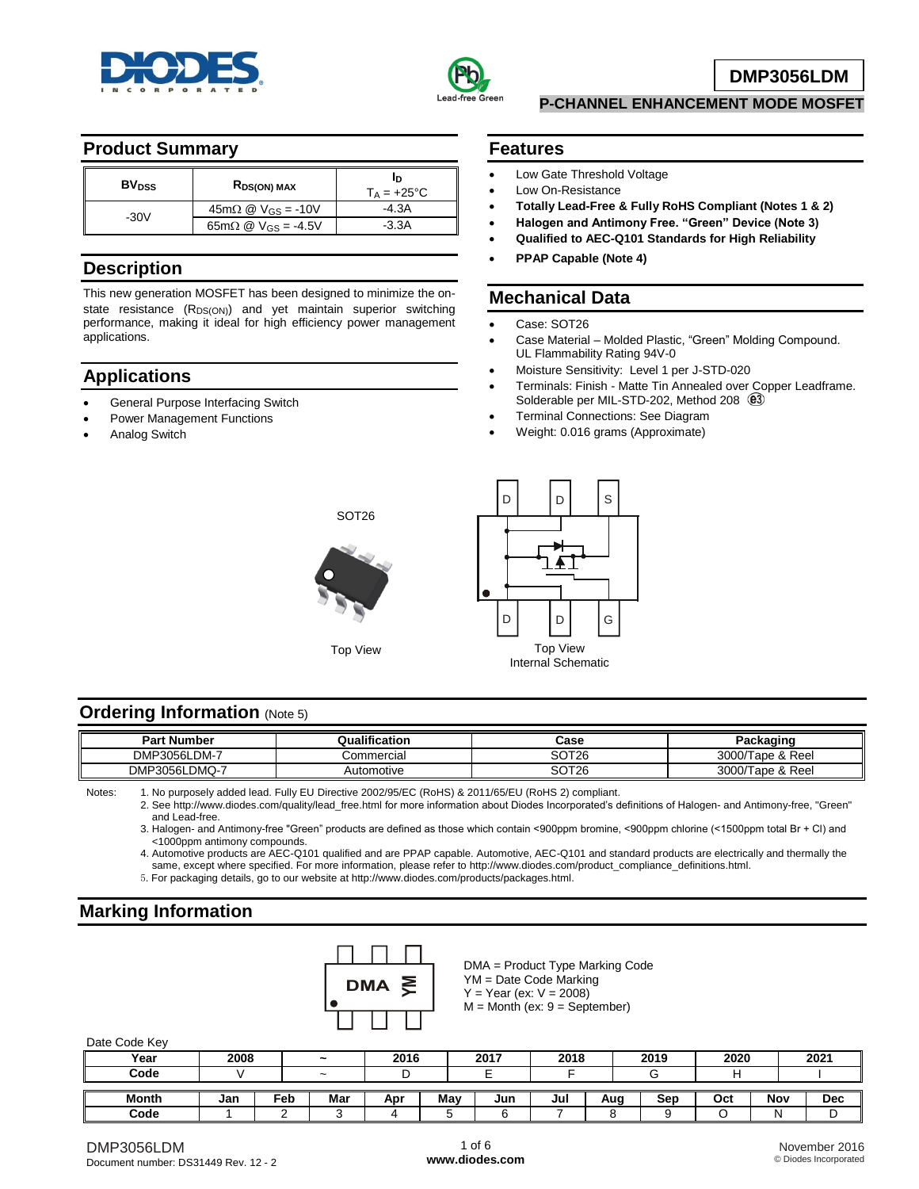



**DMP3056LDM**

### **Product Summary**

| <b>BV</b> <sub>pss</sub> | RDS(ON) MAX                                          | חו<br>$T_A = +25^{\circ}C$ |
|--------------------------|------------------------------------------------------|----------------------------|
| $-30V$                   | $45m\Omega \n\textcircled{2}$ V <sub>GS</sub> = -10V | -4.3A                      |
|                          | $65 \text{m}\Omega \text{ @ } V_{GS} = -4.5V$        | $-3.3A$                    |

### **Description**

This new generation MOSFET has been designed to minimize the onstate resistance  $(R_{DS(ON)})$  and yet maintain superior switching performance, making it ideal for high efficiency power management applications.

## **Applications**

- General Purpose Interfacing Switch
- Power Management Functions
- Analog Switch

#### **Features**

- Low Gate Threshold Voltage
- Low On-Resistance
- **Totally Lead-Free & Fully RoHS Compliant (Notes 1 & 2)**

**P-CHANNEL ENHANCEMENT MODE MOSFET** 

- **Halogen and Antimony Free. "Green" Device (Note 3)**
- **Qualified to AEC-Q101 Standards for High Reliability**
- **PPAP Capable (Note 4)**

# **Mechanical Data**

- Case: SOT26
- Case Material Molded Plastic, "Green" Molding Compound. UL Flammability Rating 94V-0
- Moisture Sensitivity: Level 1 per J-STD-020
- Terminals: Finish Matte Tin Annealed over Copper Leadframe. Solderable per MIL-STD-202, Method 208  $(2)$
- Terminal Connections: See Diagram
- Weight: 0.016 grams (Approximate)





#### **Ordering Information (Note 5)**

| t <b>Number</b><br>Part | Qualification | Case              | Packaging             |
|-------------------------|---------------|-------------------|-----------------------|
| DMP3056LDM-7            | Commercial    | SOT <sub>26</sub> | 3000/Tape & Reel      |
| DMP3056LDMQ-7           | Automotive    | SOT <sub>26</sub> | 3000/T<br>Tape & Reel |

Notes: 1. No purposely added lead. Fully EU Directive 2002/95/EC (RoHS) & 2011/65/EU (RoHS 2) compliant.

2. See [http://www.diodes.com/quality/lead\\_free.html fo](http://www.diodes.com/quality/lead_free.html)r more information about Diodes Incorporated's definitions of Halogen- and Antimony-free, "Green" and Lead-free.

3. Halogen- and Antimony-free "Green" products are defined as those which contain <900ppm bromine, <900ppm chlorine (<1500ppm total Br + Cl) and <1000ppm antimony compounds.

4. Automotive products are AEC-Q101 qualified and are PPAP capable. Automotive, AEC-Q101 and standard products are electrically and thermally the same, except where specified. For more information, please refer to [http://www.diodes.com/product\\_compliance\\_definitions.html.](http://www.diodes.com/product_compliance_definitions.html)

5. For packaging details, go to our website at [http://www.diodes.com/products/packages.html.](http://www.diodes.com/products/packages.html) 

# **Marking Information**



DMA = Product Type Marking Code YM = Date Code Marking  $Y = Year (ex: V = 2008)$  $M =$  Month (ex:  $9 =$  September)

Date Code Key

| Dale Ouge IVEY |      |     |                       |      |     |      |      |     |      |      |     |      |
|----------------|------|-----|-----------------------|------|-----|------|------|-----|------|------|-----|------|
| Year           | 2008 |     | $\tilde{\phantom{a}}$ | 2016 |     | 2017 | 2018 |     | 2019 | 2020 |     | 2021 |
| Code           |      |     | $\tilde{\phantom{a}}$ |      |     |      |      |     |      |      |     |      |
|                |      |     |                       |      |     |      |      |     |      |      |     |      |
| <b>Month</b>   | Jan  | Feb | Mar                   | Apr  | May | Jun  | Jul  | Aug | Sep  | Oct  | Nov | Dec  |
| Code           |      |     |                       |      |     |      |      |     |      |      | N   | υ    |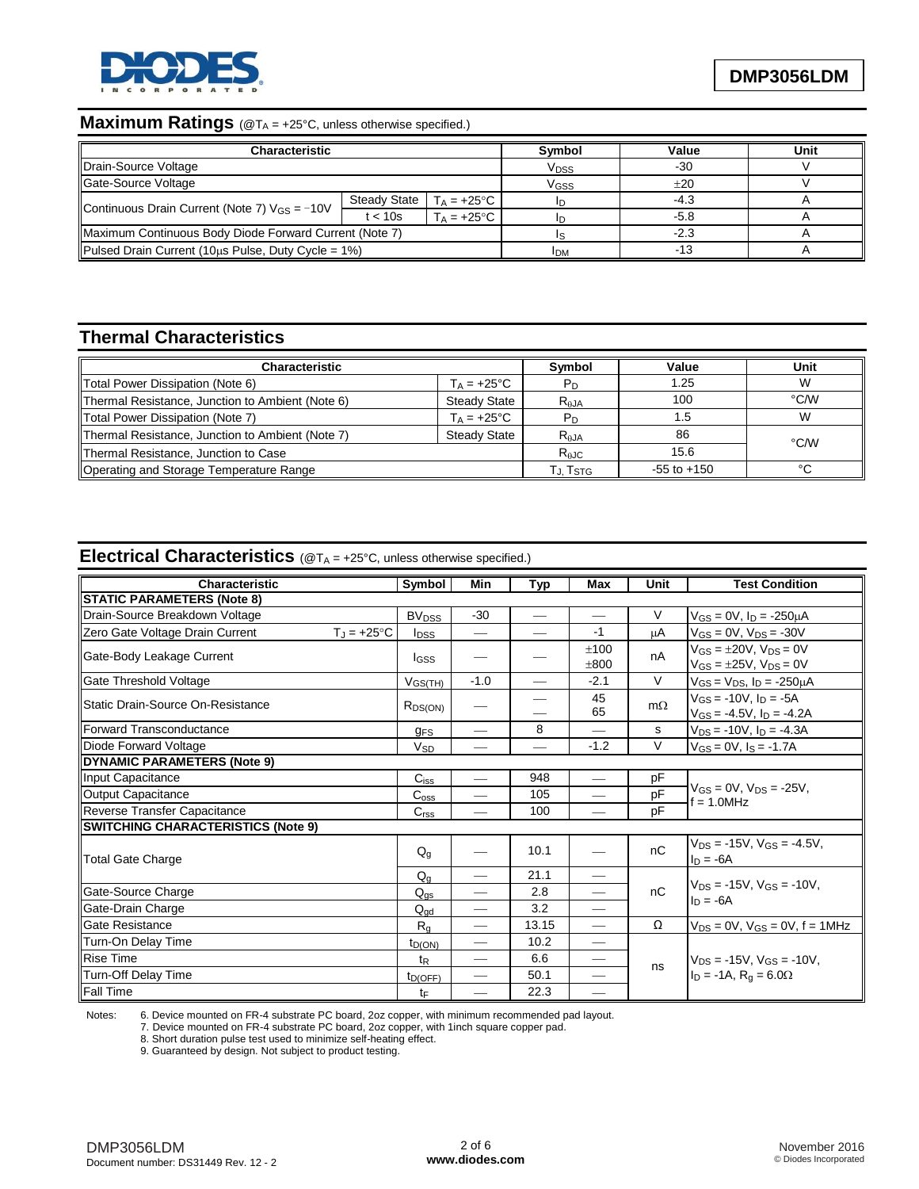

# **Maximum Ratings** (@T<sub>A</sub> = +25°C, unless otherwise specified.)

| <b>Characteristic</b>                                    |              | Symbol               | Value  | Unit   |  |
|----------------------------------------------------------|--------------|----------------------|--------|--------|--|
| Drain-Source Voltage                                     |              | Vpss                 | $-30$  |        |  |
| Gate-Source Voltage                                      |              |                      | Vgss   | ±20    |  |
|                                                          | Steady State | $T_A = +25$ °C       |        | $-4.3$ |  |
| Continuous Drain Current (Note 7) $V_{GS} = -10V$        | t < 10s      | $T_A = +25^{\circ}C$ | ID     | $-5.8$ |  |
| Maximum Continuous Body Diode Forward Current (Note 7)   |              |                      | $-2.3$ |        |  |
| Pulsed Drain Current (10 $\mu$ s Pulse, Duty Cycle = 1%) |              | <b>IDM</b>           | $-13$  |        |  |

# **Thermal Characteristics**

| <b>Characteristic</b>                                                   |                      | <b>Symbol</b>   | Value           | Unit   |
|-------------------------------------------------------------------------|----------------------|-----------------|-----------------|--------|
| Total Power Dissipation (Note 6)                                        | $T_A = +25^{\circ}C$ | P <sub>D</sub>  | 1.25            |        |
| Thermal Resistance, Junction to Ambient (Note 6)                        | <b>Steady State</b>  | $R_{AJA}$       | 100             | °C∕W   |
| Total Power Dissipation (Note 7)                                        | $T_A = +25^{\circ}C$ | P <sub>D</sub>  | l .5            |        |
| Thermal Resistance, Junction to Ambient (Note 7)<br><b>Steady State</b> |                      | $R_{AJA}$       | 86              | °C/W   |
| Thermal Resistance, Junction to Case                                    |                      | $R_{\theta}$ JC | 15.6            |        |
| Operating and Storage Temperature Range                                 |                      | Г., TsтG        | $-55$ to $+150$ | $\sim$ |

# **Electrical Characteristics** (@T<sup>A</sup> = +25°C, unless otherwise specified.)

| Characteristic                                          | Symbol                  | Min                           | <b>Typ</b> | Max                      | Unit      | <b>Test Condition</b>                                                    |  |  |
|---------------------------------------------------------|-------------------------|-------------------------------|------------|--------------------------|-----------|--------------------------------------------------------------------------|--|--|
| <b>STATIC PARAMETERS (Note 8)</b>                       |                         |                               |            |                          |           |                                                                          |  |  |
| Drain-Source Breakdown Voltage                          | <b>BV<sub>DSS</sub></b> | $-30$                         |            | $\overline{\phantom{m}}$ | V         | $V_{GS} = 0V$ , $I_D = -250 \mu A$                                       |  |  |
| Zero Gate Voltage Drain Current<br>$T_J = +25^{\circ}C$ | <b>I</b> <sub>DSS</sub> | $\overbrace{\phantom{aaaaa}}$ |            | $-1$                     | μA        | $V_{GS} = 0V$ , $V_{DS} = -30V$                                          |  |  |
| Gate-Body Leakage Current                               | lgss                    |                               |            | ±100<br>±800             | nA        | $V_{GS} = \pm 20V$ , $V_{DS} = 0V$<br>$V_{GS} = \pm 25V$ , $V_{DS} = 0V$ |  |  |
| Gate Threshold Voltage                                  | V <sub>GS(TH)</sub>     | $-1.0$                        |            | $-2.1$                   | $\vee$    | $V_{GS} = V_{DS}$ , $I_D = -250 \mu A$                                   |  |  |
| Static Drain-Source On-Resistance                       | $R_{DS(ON)}$            |                               |            | 45<br>65                 | $m\Omega$ | $V_{GS} = -10V$ , $I_D = -5A$<br>$V_{GS} = -4.5V$ , $I_D = -4.2A$        |  |  |
| Forward Transconductance                                | <b>gFS</b>              |                               | 8          |                          | s         | $V_{DS} = -10V$ , $I_D = -4.3A$                                          |  |  |
| Diode Forward Voltage                                   | <b>V<sub>SD</sub></b>   | —                             |            | $-1.2$                   | V         | $V_{GS} = 0V$ , $I_S = -1.7A$                                            |  |  |
| <b>DYNAMIC PARAMETERS (Note 9)</b>                      |                         |                               |            |                          |           |                                                                          |  |  |
| Input Capacitance                                       | $C$ <sub>iss</sub>      |                               | 948        |                          | pF        |                                                                          |  |  |
| Output Capacitance                                      | $C_{\rm oss}$           |                               | 105        |                          | pF        | $V_{GS} = 0V$ , $V_{DS} = -25V$ ,<br>$f = 1.0$ MHz                       |  |  |
| Reverse Transfer Capacitance                            | C <sub>rss</sub>        |                               | 100        |                          | pF        |                                                                          |  |  |
| <b>SWITCHING CHARACTERISTICS (Note 9)</b>               |                         |                               |            |                          |           |                                                                          |  |  |
| <b>Total Gate Charge</b>                                |                         |                               | 10.1       |                          | nC        | $V_{DS} = -15V$ , $V_{GS} = -4.5V$ .<br>$I_D = -6A$                      |  |  |
|                                                         | $Q_q$                   |                               | 21.1       |                          |           | $V_{DS} = -15V$ . $V_{GS} = -10V$ .                                      |  |  |
| Gate-Source Charge                                      | $Q_{gs}$                |                               | 2.8        | $\overline{\phantom{0}}$ | nC        | $I_D = -6A$                                                              |  |  |
| Gate-Drain Charge                                       | $Q_{\text{gd}}$         |                               | 3.2        | $\overline{\phantom{0}}$ |           |                                                                          |  |  |
| <b>Gate Resistance</b>                                  | $R_{\alpha}$            | $\overline{\phantom{0}}$      | 13.15      | $\qquad \qquad$          | Ω         | $V_{DS} = 0V$ , $V_{GS} = 0V$ , $f = 1MHz$                               |  |  |
| Turn-On Delay Time                                      | $t_{D(ON)}$             |                               | 10.2       |                          |           |                                                                          |  |  |
| <b>Rise Time</b>                                        |                         |                               | 6.6        |                          |           | $V_{DS}$ = -15V, $V_{GS}$ = -10V,                                        |  |  |
| Turn-Off Delay Time                                     | $t_{D(OFF)}$            |                               | 50.1       |                          | ns        | $I_D = -1A$ , $R_g = 6.0\Omega$                                          |  |  |
| <b>Fall Time</b>                                        | tF                      |                               | 22.3       |                          |           |                                                                          |  |  |

Notes: 6. Device mounted on FR-4 substrate PC board, 2oz copper, with minimum recommended pad layout.

7. Device mounted on FR-4 substrate PC board, 2oz copper, with 1inch square copper pad.

8. Short duration pulse test used to minimize self-heating effect.

9. Guaranteed by design. Not subject to product testing.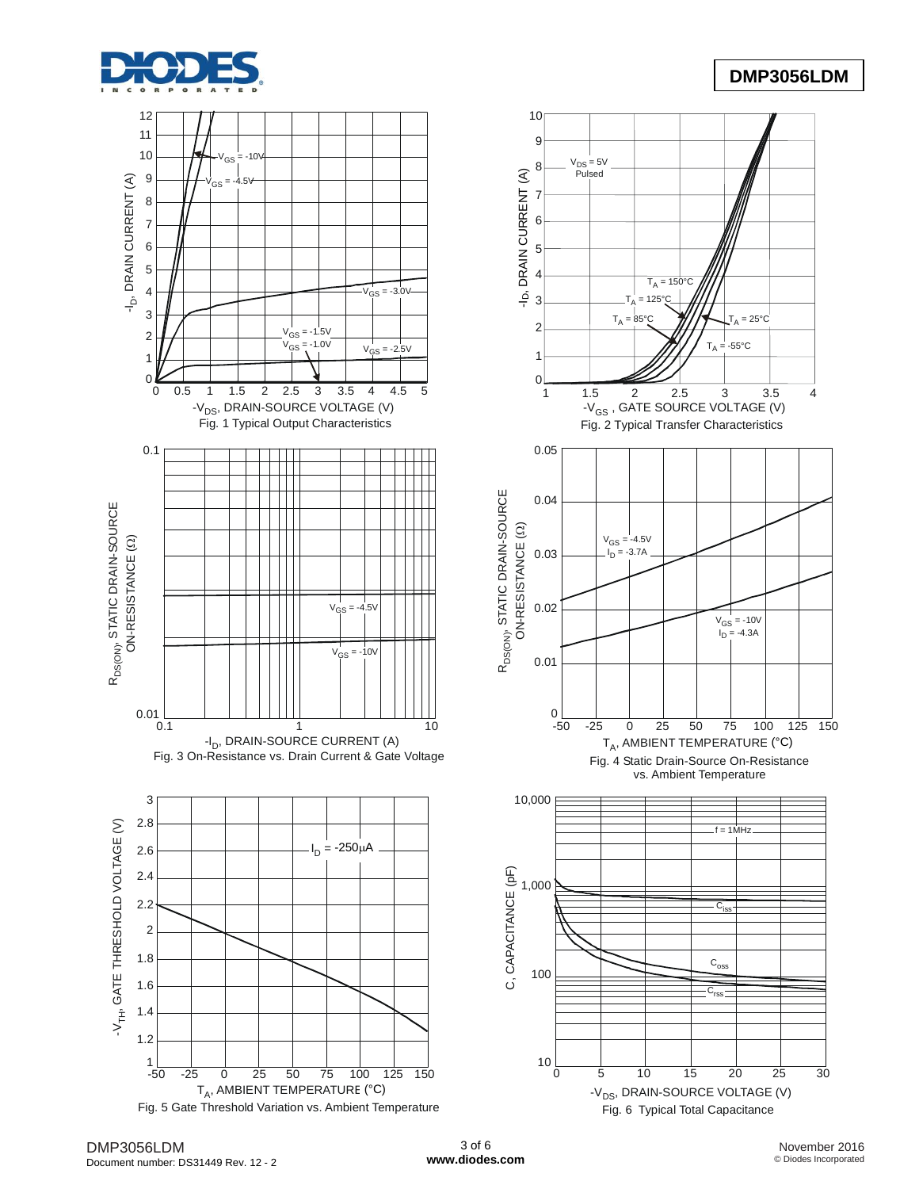

## **DMP3056LDM**

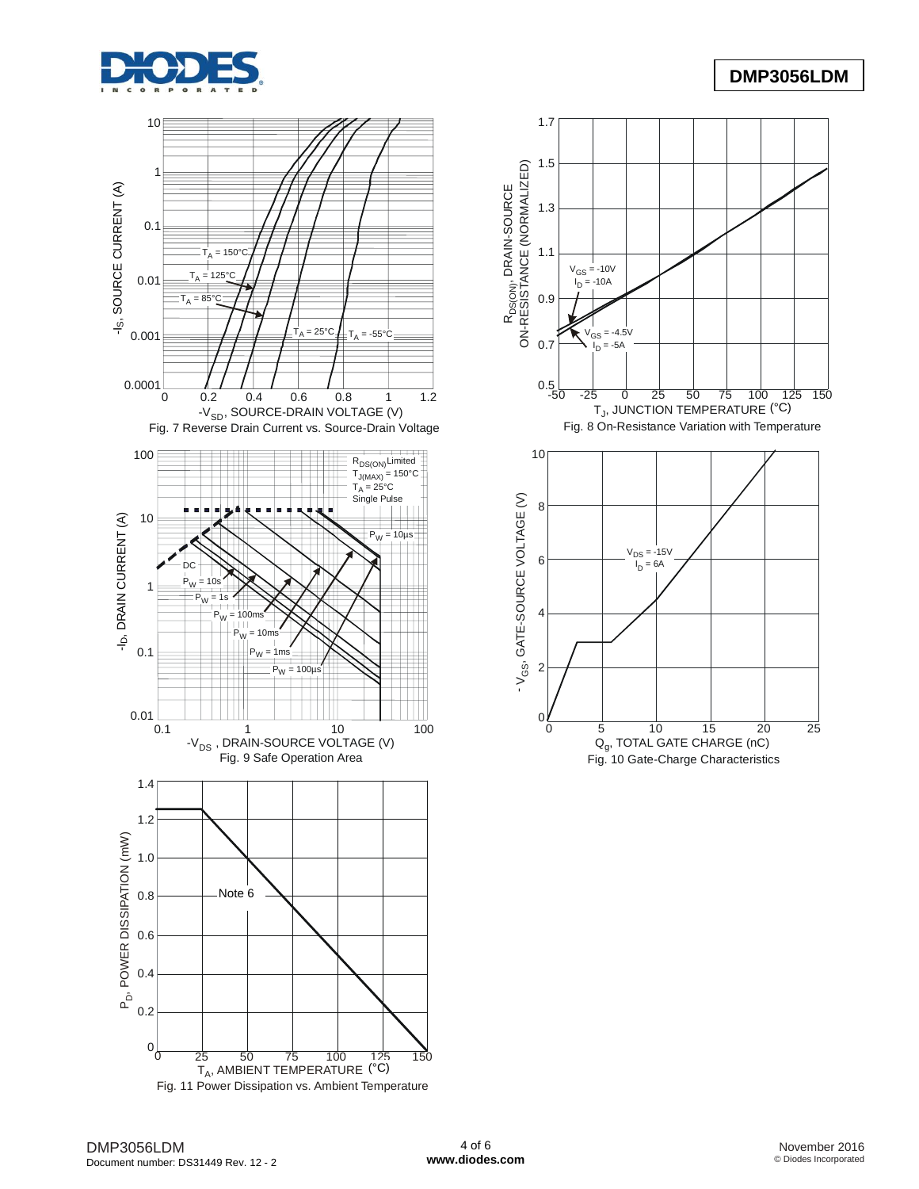







Fig. 10 Gate-Charge Characteristics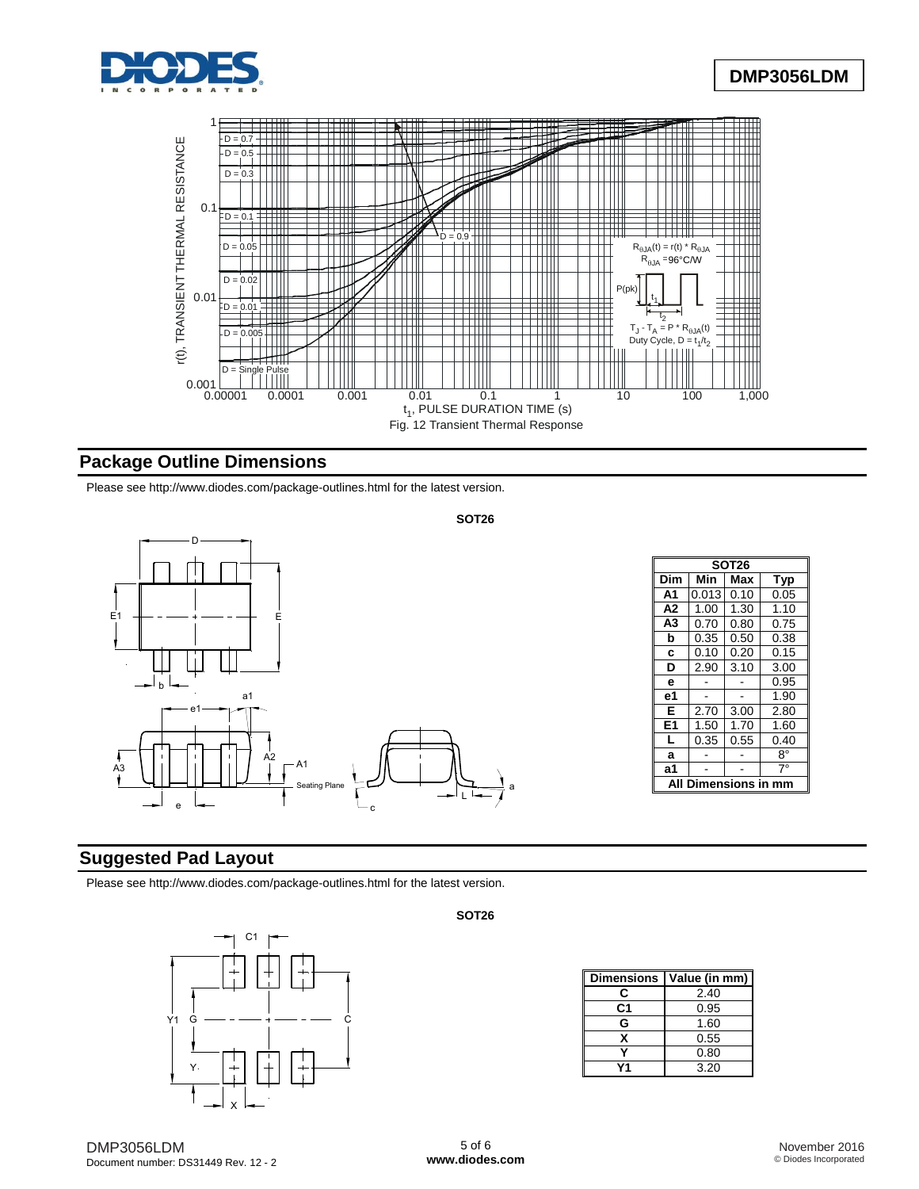



## **Package Outline Dimensions**

Please see <http://www.diodes.com/package-outlines.html> for the latest version.

#### **SOT26**



|                | <b>SOT26</b>     |      |            |  |  |  |  |
|----------------|------------------|------|------------|--|--|--|--|
| Dim            | Min              | Max  | <b>Typ</b> |  |  |  |  |
| A <sub>1</sub> | 0.013            | 0.10 | 0.05       |  |  |  |  |
| A <sub>2</sub> | 1.00             | 1.30 | 1.10       |  |  |  |  |
| A3             | 0.70             | 0.80 | 0.75       |  |  |  |  |
| b              | 0.35             | 0.50 | 0.38       |  |  |  |  |
| C              | 0.10             | 0.20 | 0.15       |  |  |  |  |
| D              | 2.90             | 3.10 | 3.00       |  |  |  |  |
| e              |                  |      | 0.95       |  |  |  |  |
| е1             |                  |      | 1.90       |  |  |  |  |
| Е              | 2.70             | 3.00 | 2.80       |  |  |  |  |
| E1             | 1.50             | 1.70 | 1.60       |  |  |  |  |
| L              | 0.35             | 0.55 | 0.40       |  |  |  |  |
| a              |                  |      | 8°         |  |  |  |  |
| a1             |                  |      | $7^\circ$  |  |  |  |  |
| Αl             | Dimensions in mm |      |            |  |  |  |  |

### **Suggested Pad Layout**

Please see <http://www.diodes.com/package-outlines.html> for the latest version.



#### **SOT26**

| <b>Dimensions</b> | Value (in mm) |
|-------------------|---------------|
| r.                | 2.40          |
| C1                | 0.95          |
| G                 | 1.60          |
| x                 | 0.55          |
|                   | 0.80          |
|                   | 3.20          |